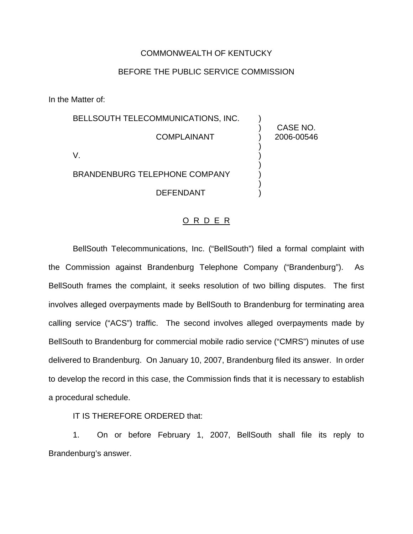## COMMONWEALTH OF KENTUCKY

## BEFORE THE PUBLIC SERVICE COMMISSION

In the Matter of:

| BELLSOUTH TELECOMMUNICATIONS, INC.   |                        |
|--------------------------------------|------------------------|
| <b>COMPLAINANT</b>                   | CASE NO.<br>2006-00546 |
|                                      |                        |
| <b>BRANDENBURG TELEPHONE COMPANY</b> |                        |
| <b>DEFENDANT</b>                     |                        |

## O R D E R

BellSouth Telecommunications, Inc. ("BellSouth") filed a formal complaint with the Commission against Brandenburg Telephone Company ("Brandenburg"). As BellSouth frames the complaint, it seeks resolution of two billing disputes. The first involves alleged overpayments made by BellSouth to Brandenburg for terminating area calling service ("ACS") traffic. The second involves alleged overpayments made by BellSouth to Brandenburg for commercial mobile radio service ("CMRS") minutes of use delivered to Brandenburg. On January 10, 2007, Brandenburg filed its answer. In order to develop the record in this case, the Commission finds that it is necessary to establish a procedural schedule.

IT IS THEREFORE ORDERED that:

1. On or before February 1, 2007, BellSouth shall file its reply to Brandenburg's answer.